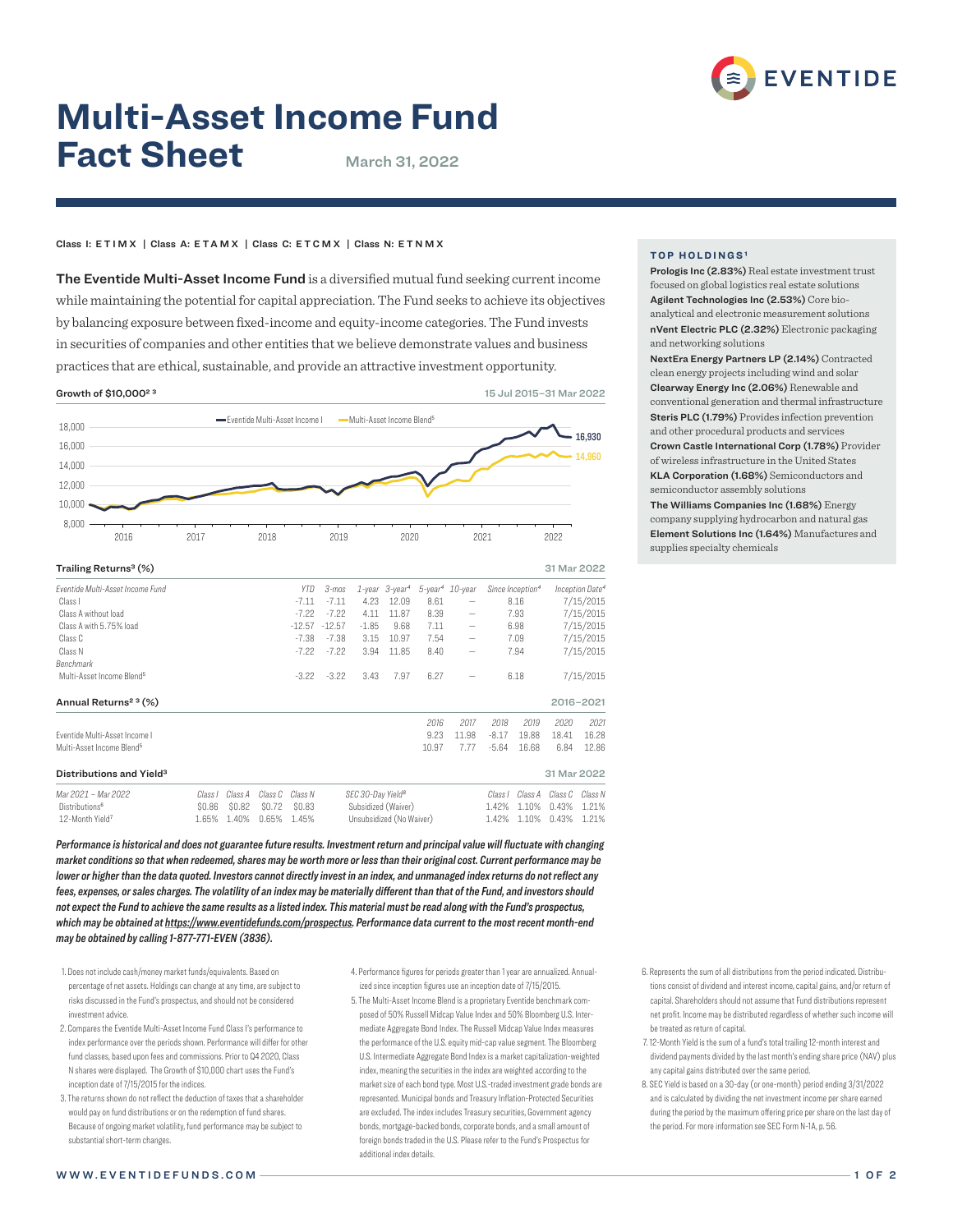

# **Multi-Asset Income Fund Fact Sheet** March 31, 2022

## Class I: ETIMX | Class A: ETAMX | Class C: ETCMX | Class N: E T N M X

The Eventide Multi-Asset Income Fund is a diversified mutual fund seeking current income while maintaining the potential for capital appreciation. The Fund seeks to achieve its objectives by balancing exposure between fixed-income and equity-income categories. The Fund invests in securities of companies and other entities that we believe demonstrate values and business practices that are ethical, sustainable, and provide an attractive investment opportunity.

Growth of \$10,000<sup>2</sup> <sup>3</sup> 2015–31 Mar 2022



| Fventide Multi-Asset Income Fund      |         |         |         | YTD.               | 3-mos                             |              | $1$ -year $3$ -year <sup>4</sup> |              | 5-year <sup>4</sup> 10-year                                                                           |              | Since Inception <sup>4</sup> |                        | Inception Date <sup>4</sup> |
|---------------------------------------|---------|---------|---------|--------------------|-----------------------------------|--------------|----------------------------------|--------------|-------------------------------------------------------------------------------------------------------|--------------|------------------------------|------------------------|-----------------------------|
| Class I                               |         |         |         | $-7.11$            | $-7.11$                           | 4.23         | 12.09                            | 8.61         |                                                                                                       |              | 8.16                         |                        | 7/15/2015                   |
| Class A without load                  |         |         |         | $-7.22$            | $-7.22$                           | 4.11         | 11.87                            | 8.39         | $\hspace{1.0cm} \rule{1.5cm}{0.15cm} \hspace{1.0cm} \rule{1.5cm}{0.15cm}$                             | 7.93         |                              | 7/15/2015              |                             |
| Class A with 5.75% load               |         |         |         | $-12.57$           | $-12.57$                          | $-1.85$      | 9.68                             | 7.11         | $\overline{\phantom{m}}$                                                                              | 6.98         |                              | 7/15/2015              |                             |
| Class C                               |         |         |         | $-7.38$<br>$-7.22$ | $-7.38$<br>$-7.22$                | 3.15<br>3.94 | 10.97<br>11.85                   | 7.54<br>8.40 | $\overline{\phantom{m}}$<br>$\hspace{1.0cm} \rule{1.5cm}{0.15cm} \hspace{1.0cm} \rule{1.5cm}{0.15cm}$ | 7.09<br>7.94 |                              | 7/15/2015<br>7/15/2015 |                             |
| Class N                               |         |         |         |                    |                                   |              |                                  |              |                                                                                                       |              |                              |                        |                             |
| Benchmark                             |         |         |         |                    |                                   |              |                                  |              |                                                                                                       |              |                              |                        |                             |
| Multi-Asset Income Blend <sup>5</sup> |         |         |         | $-3.22$            | $-3.22$                           | 3.43         | 7.97                             | 6.27         |                                                                                                       |              | 6.18                         | 7/15/2015              |                             |
| Annual Returns <sup>2 3</sup> (%)     |         |         |         |                    |                                   |              |                                  |              |                                                                                                       |              |                              |                        | 2016-2021                   |
|                                       |         |         |         |                    |                                   |              |                                  | 2016         | 2017                                                                                                  | 2018         | 2019                         | 2020                   | 2021                        |
| Eventide Multi-Asset Income I         |         |         |         |                    |                                   |              |                                  | 9.23         | 11.98                                                                                                 | $-8.17$      | 19.88                        | 18.41                  | 16.28                       |
| Multi-Asset Income Blend <sup>5</sup> |         |         |         |                    |                                   |              |                                  | 10.97        | 7.77                                                                                                  | $-5.64$      | 16.68                        | 6.84                   | 12.86                       |
| Distributions and Yield <sup>3</sup>  |         |         |         |                    |                                   |              |                                  |              |                                                                                                       |              |                              | 31 Mar 2022            |                             |
| Mar 2021 - Mar 2022                   | Class I | Class A | Class C | Class N            | SEC 30-Day Yield <sup>8</sup>     |              |                                  | Class I      | Class A                                                                                               | Class C      | Class N                      |                        |                             |
| Distributions <sup>6</sup>            | \$0.86  | \$0.82  | \$0.72  | \$0.83             | Subsidized (Waiver)<br>1.42%      |              |                                  | 1.10%        | 0.43%                                                                                                 | 1.21%        |                              |                        |                             |
| 12-Month Yield <sup>7</sup>           | 1.65%   | 1.40%   | 0.65%   | 1.45%              | Unsubsidized (No Waiver)<br>1.42% |              |                                  | 1.10%        | 0.43%                                                                                                 | 1.21%        |                              |                        |                             |

*Performance is historical and does not guarantee future results. Investment return and principal value will fluctuate with changing market conditions so that when redeemed, shares may be worth more or less than their original cost. Current performance may be lower or higher than the data quoted. Investors cannot directly invest in an index, and unmanaged index returns do not reflect any fees, expenses, or sales charges. The volatility of an index may be materially different than that of the Fund, and investors should not expect the Fund to achieve the same results as a listed index. This material must be read along with the Fund's prospectus, which may be obtained at https://www.eventidefunds.com/prospectus. Performance data current to the most recent month-end may be obtained by calling 1-877-771-EVEN (3836).*

- 1. Does not include cash/money market funds/equivalents. Based on percentage of net assets. Holdings can change at any time, are subject to risks discussed in the Fund's prospectus, and should not be considered investment advice.
- 2. Compares the Eventide Multi-Asset Income Fund Class I's performance to index performance over the periods shown. Performance will differ for other fund classes, based upon fees and commissions. Prior to Q4 2020, Class N shares were displayed. The Growth of \$10,000 chart uses the Fund's inception date of 7/15/2015 for the indices.
- 3. The returns shown do not reflect the deduction of taxes that a shareholder would pay on fund distributions or on the redemption of fund shares. Because of ongoing market volatility, fund performance may be subject to substantial short-term changes.
- 4. Performance figures for periods greater than 1 year are annualized. Annualized since inception figures use an inception date of 7/15/2015.
- 5. The Multi-Asset Income Blend is a proprietary Eventide benchmark composed of 50% Russell Midcap Value Index and 50% Bloomberg U.S. Intermediate Aggregate Bond Index. The Russell Midcap Value Index measures the performance of the U.S. equity mid-cap value segment. The Bloomberg U.S. Intermediate Aggregate Bond Index is a market capitalization-weighted index, meaning the securities in the index are weighted according to the market size of each bond type. Most U.S.-traded investment grade bonds are represented. Municipal bonds and Treasury Inflation-Protected Securities are excluded. The index includes Treasury securities, Government agency bonds, mortgage-backed bonds, corporate bonds, and a small amount of foreign bonds traded in the U.S. Please refer to the Fund's Prospectus for additional index details.

## **TOP HOLDINGS¹**

Prologis Inc (2.83%) Real estate investment trust focused on global logistics real estate solutions Agilent Technologies Inc (2.53%) Core bioanalytical and electronic measurement solutions nVent Electric PLC (2.32%) Electronic packaging and networking solutions

NextEra Energy Partners LP (2.14%) Contracted clean energy projects including wind and solar Clearway Energy Inc (2.06%) Renewable and conventional generation and thermal infrastructure Steris PLC (1.79%) Provides infection prevention and other procedural products and services Crown Castle International Corp (1.78%) Provider of wireless infrastructure in the United States KLA Corporation (1.68%) Semiconductors and semiconductor assembly solutions The Williams Companies Inc (1.68%) Energy company supplying hydrocarbon and natural gas Element Solutions Inc (1.64%) Manufactures and supplies specialty chemicals

- 6. Represents the sum of all distributions from the period indicated. Distributions consist of dividend and interest income, capital gains, and/or return of capital. Shareholders should not assume that Fund distributions represent net profit. Income may be distributed regardless of whether such income will be treated as return of capital.
- 7. 12-Month Yield is the sum of a fund's total trailing 12-month interest and dividend payments divided by the last month's ending share price (NAV) plus any capital gains distributed over the same period.
- 8. SEC Yield is based on a 30-day (or one-month) period ending 3/31/2022 and is calculated by dividing the net investment income per share earned during the period by the maximum offering price per share on the last day of the period. For more information see SEC Form N-1A, p. 56.